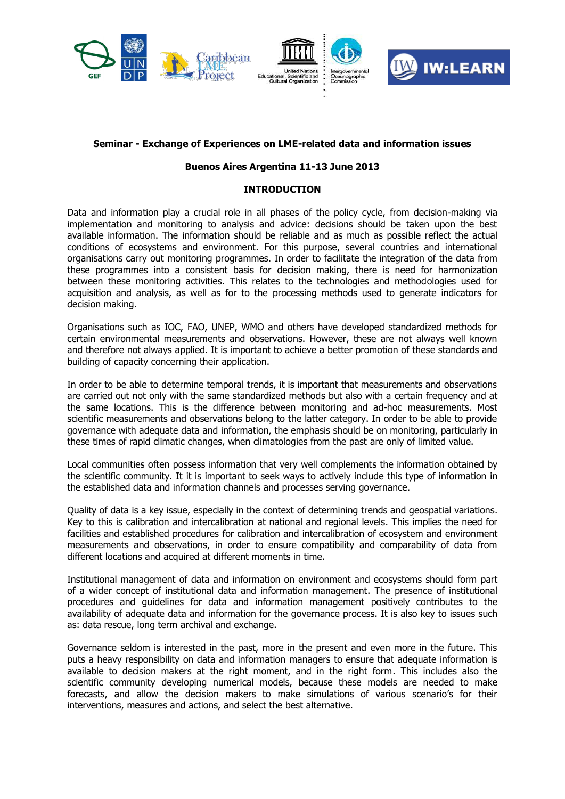

## **Seminar - Exchange of Experiences on LME-related data and information issues**

## **Buenos Aires Argentina 11-13 June 2013**

## **INTRODUCTION**

Data and information play a crucial role in all phases of the policy cycle, from decision-making via implementation and monitoring to analysis and advice: decisions should be taken upon the best available information. The information should be reliable and as much as possible reflect the actual conditions of ecosystems and environment. For this purpose, several countries and international organisations carry out monitoring programmes. In order to facilitate the integration of the data from these programmes into a consistent basis for decision making, there is need for harmonization between these monitoring activities. This relates to the technologies and methodologies used for acquisition and analysis, as well as for to the processing methods used to generate indicators for decision making.

Organisations such as IOC, FAO, UNEP, WMO and others have developed standardized methods for certain environmental measurements and observations. However, these are not always well known and therefore not always applied. It is important to achieve a better promotion of these standards and building of capacity concerning their application.

In order to be able to determine temporal trends, it is important that measurements and observations are carried out not only with the same standardized methods but also with a certain frequency and at the same locations. This is the difference between monitoring and ad-hoc measurements. Most scientific measurements and observations belong to the latter category. In order to be able to provide governance with adequate data and information, the emphasis should be on monitoring, particularly in these times of rapid climatic changes, when climatologies from the past are only of limited value.

Local communities often possess information that very well complements the information obtained by the scientific community. It it is important to seek ways to actively include this type of information in the established data and information channels and processes serving governance.

Quality of data is a key issue, especially in the context of determining trends and geospatial variations. Key to this is calibration and intercalibration at national and regional levels. This implies the need for facilities and established procedures for calibration and intercalibration of ecosystem and environment measurements and observations, in order to ensure compatibility and comparability of data from different locations and acquired at different moments in time.

Institutional management of data and information on environment and ecosystems should form part of a wider concept of institutional data and information management. The presence of institutional procedures and guidelines for data and information management positively contributes to the availability of adequate data and information for the governance process. It is also key to issues such as: data rescue, long term archival and exchange.

Governance seldom is interested in the past, more in the present and even more in the future. This puts a heavy responsibility on data and information managers to ensure that adequate information is available to decision makers at the right moment, and in the right form. This includes also the scientific community developing numerical models, because these models are needed to make forecasts, and allow the decision makers to make simulations of various scenario's for their interventions, measures and actions, and select the best alternative.